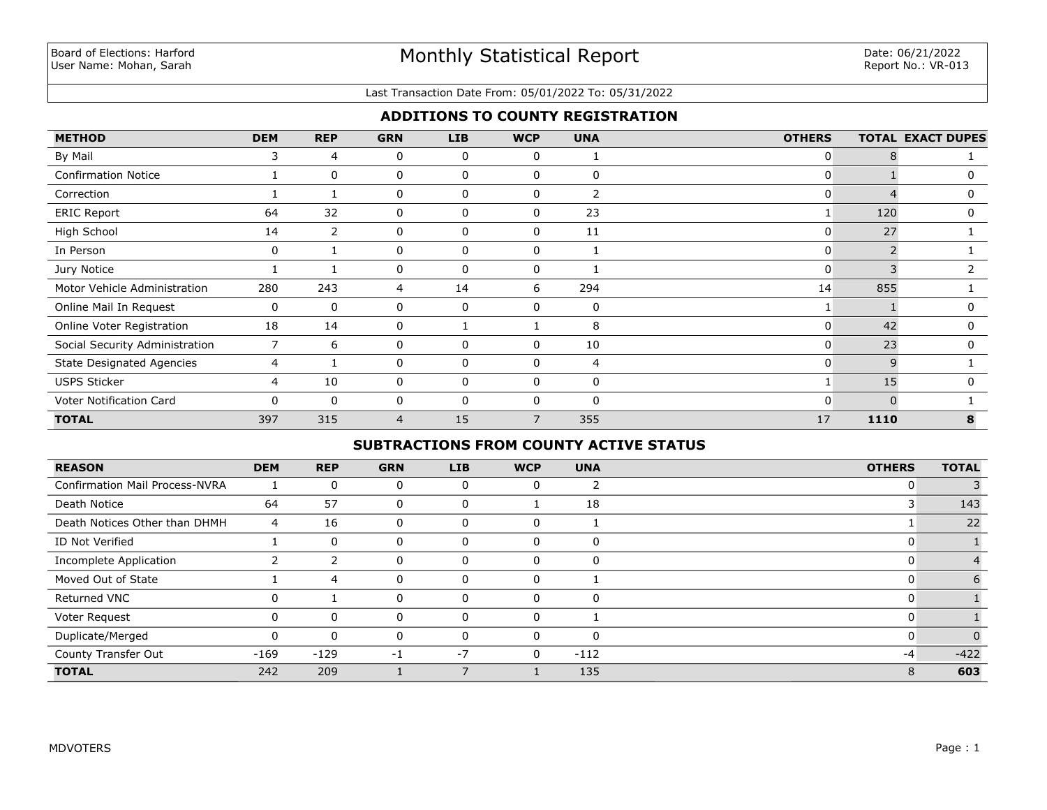#### Last Transaction Date From: 05/01/2022 To: 05/31/2022

## **ADDITIONS TO COUNTY REGISTRATION**

| <b>METHOD</b>                    | <b>DEM</b>  | <b>REP</b>     | <b>GRN</b>     | LIB          | <b>WCP</b>   | <b>UNA</b>     | <b>OTHERS</b> |      | <b>TOTAL EXACT DUPES</b> |
|----------------------------------|-------------|----------------|----------------|--------------|--------------|----------------|---------------|------|--------------------------|
| By Mail                          | 3           | 4              | 0              | $\mathbf{0}$ | 0            |                | 0             |      |                          |
| <b>Confirmation Notice</b>       |             | $\mathbf{0}$   | 0              | $\mathbf{0}$ | $\mathbf{0}$ | $\Omega$       | 0             |      | 0                        |
| Correction                       |             |                | 0              | $\mathbf{0}$ | 0            | $\overline{2}$ | 0             |      | 0                        |
| <b>ERIC Report</b>               | 64          | 32             | $\mathbf{0}$   | $\Omega$     | $\Omega$     | 23             |               | 120  | 0                        |
| High School                      | 14          | $\overline{2}$ | 0              | 0            | 0            | 11             | 0             | 27   |                          |
| In Person                        | 0           |                | 0              | $\mathbf{0}$ | $\Omega$     |                | 0             |      |                          |
| Jury Notice                      |             |                | 0              | $\mathbf{0}$ | 0            |                | 0             |      |                          |
| Motor Vehicle Administration     | 280         | 243            | 4              | 14           | 6            | 294            | 14            | 855  |                          |
| Online Mail In Request           | 0           | 0              | 0              | $\mathbf{0}$ | $\Omega$     | 0              |               |      | $\Omega$                 |
| Online Voter Registration        | 18          | 14             | 0              |              |              | 8              | 0             | 42   | 0                        |
| Social Security Administration   | 7           | 6              | 0              | 0            | 0            | 10             | 0             | 23   | 0                        |
| <b>State Designated Agencies</b> | 4           |                | $\mathbf{0}$   | $\mathbf{0}$ | $\mathbf{0}$ | 4              | 0             | 9    |                          |
| <b>USPS Sticker</b>              | 4           | 10             | 0              | $\mathbf{0}$ | 0            | 0              |               | 15   | 0                        |
| Voter Notification Card          | $\mathbf 0$ | 0              | 0              | 0            |              | 0              | 0             |      |                          |
| <b>TOTAL</b>                     | 397         | 315            | $\overline{4}$ | 15           | 7            | 355            | 17            | 1110 | 8                        |

# **SUBTRACTIONS FROM COUNTY ACTIVE STATUS**

| <b>REASON</b>                         | <b>DEM</b> | <b>REP</b> | <b>GRN</b> | <b>LIB</b> | <b>WCP</b>     | <b>UNA</b> | <b>OTHERS</b> | <b>TOTAL</b> |
|---------------------------------------|------------|------------|------------|------------|----------------|------------|---------------|--------------|
| <b>Confirmation Mail Process-NVRA</b> |            | $\Omega$   | 0          |            | 0              | ר          | 0             |              |
| Death Notice                          | 64         | 57         | 0          |            |                | 18         | J.            | 143          |
| Death Notices Other than DHMH         | 4          | 16         | 0          | 0          | 0              |            |               | 22           |
| ID Not Verified                       |            | 0          |            |            | $\Omega$       | 0          | O             |              |
| Incomplete Application                |            | っ          |            |            | $\Omega$       | 0          | 0             |              |
| Moved Out of State                    |            | 4          | 0          |            | $\mathbf 0$    |            | 0             |              |
| <b>Returned VNC</b>                   | 0          |            | 0          |            | $\Omega$       | 0          | 0             |              |
| Voter Request                         | 0          | $\Omega$   | 0          |            | $\Omega$       |            | 0             |              |
| Duplicate/Merged                      | 0          | $\Omega$   | 0          | $\Omega$   | $\mathbf{0}$   | $\Omega$   | 0             |              |
| County Transfer Out                   | $-169$     | $-129$     | -1         | $-7$       | $\overline{0}$ | $-112$     | $-4$          | $-422$       |
| <b>TOTAL</b>                          | 242        | 209        |            |            |                | 135        | 8             | 603          |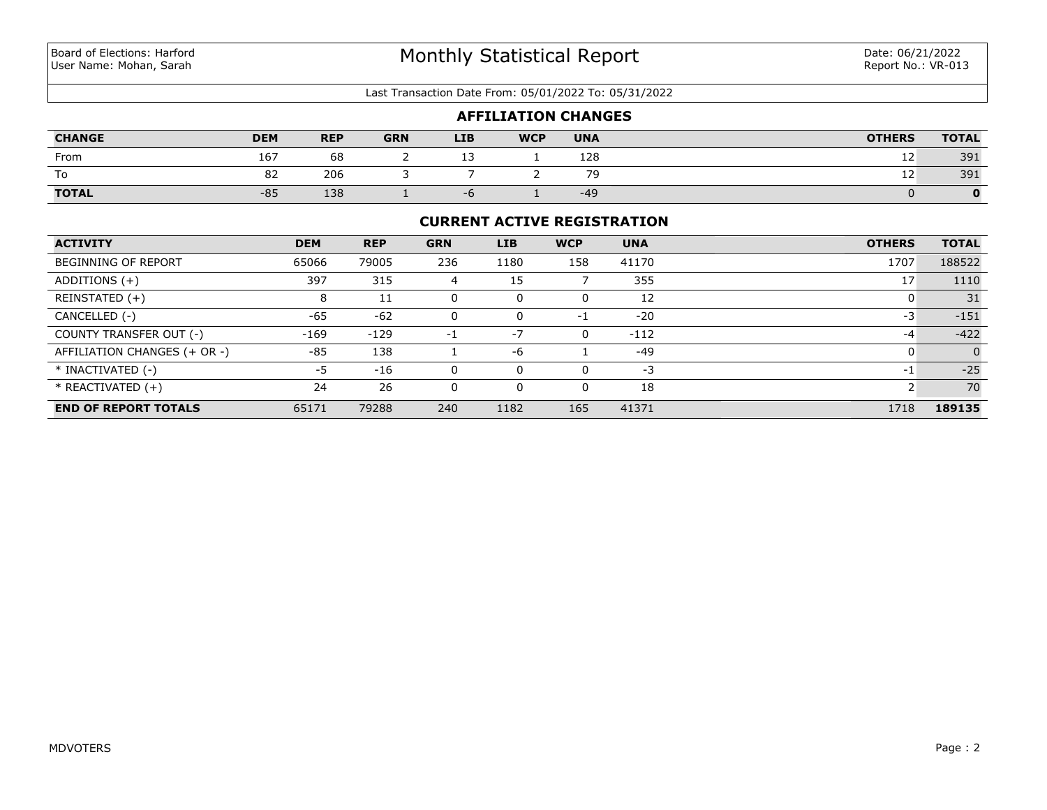#### Last Transaction Date From: 05/01/2022 To: 05/31/2022

| <b>AFFILIATION CHANGES</b> |            |            |            |            |            |            |               |              |  |
|----------------------------|------------|------------|------------|------------|------------|------------|---------------|--------------|--|
| <b>CHANGE</b>              | <b>DEM</b> | <b>REP</b> | <b>GRN</b> | <b>LIB</b> | <b>WCP</b> | <b>UNA</b> | <b>OTHERS</b> | <b>TOTAL</b> |  |
| From                       | 167        | 68         |            |            |            | 128        | ᆠ             | 391          |  |
| To                         | 82         | 206        |            |            |            | 79         | 12            | 391          |  |
| <b>TOTAL</b>               | $-85$      | 138        |            | - n        |            | $-49$      |               |              |  |

### **CURRENT ACTIVE REGISTRATION**

| <b>ACTIVITY</b>              | <b>DEM</b> | <b>REP</b> | <b>GRN</b> | <b>LIB</b> | <b>WCP</b> | <b>UNA</b> | <b>OTHERS</b> | <b>TOTAL</b>   |
|------------------------------|------------|------------|------------|------------|------------|------------|---------------|----------------|
| <b>BEGINNING OF REPORT</b>   | 65066      | 79005      | 236        | 1180       | 158        | 41170      | 1707          | 188522         |
| ADDITIONS $(+)$              | 397        | 315        | 4          | 15         |            | 355        | 17            | 1110           |
| REINSTATED (+)               | 8          | 11         | 0          |            | 0          | 12         |               | 31             |
| CANCELLED (-)                | $-65$      | $-62$      | 0          | 0          | -1         | $-20$      | -3            | $-151$         |
| COUNTY TRANSFER OUT (-)      | $-169$     | $-129$     | $-1$       | $-7$       | $\Omega$   | $-112$     | -4            | $-422$         |
| AFFILIATION CHANGES (+ OR -) | $-85$      | 138        |            | $-6$       |            | $-49$      |               | $\overline{0}$ |
| * INACTIVATED (-)            | -5         | $-16$      | 0          |            | $\Omega$   | -3         | -1            | $-25$          |
| $*$ REACTIVATED $(+)$        | 24         | 26         | 0          | 0          | $\Omega$   | 18         |               | 70             |
| <b>END OF REPORT TOTALS</b>  | 65171      | 79288      | 240        | 1182       | 165        | 41371      | 1718          | 189135         |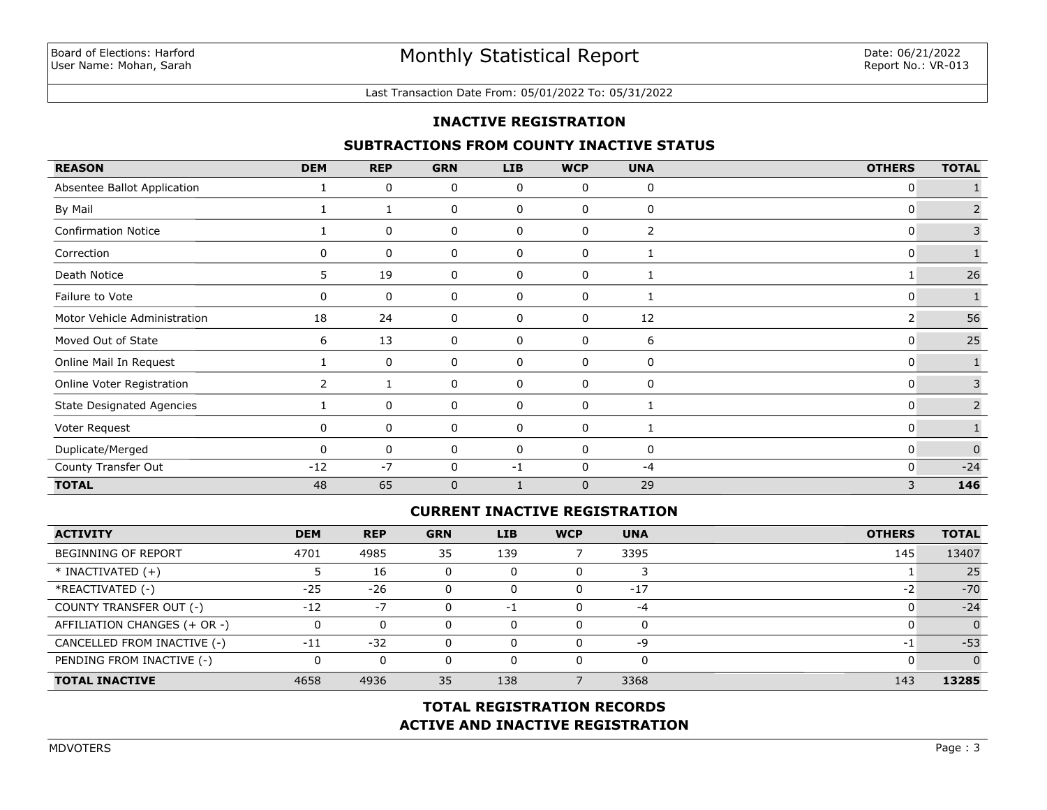#### Last Transaction Date From: 05/01/2022 To: 05/31/2022

### **INACTIVE REGISTRATION**

### **SUBTRACTIONS FROM COUNTY INACTIVE STATUS**

| <b>REASON</b>                    | <b>DEM</b>     | <b>REP</b> | <b>GRN</b>   | <b>LIB</b> | <b>WCP</b> | <b>UNA</b> | <b>OTHERS</b> | <b>TOTAL</b> |
|----------------------------------|----------------|------------|--------------|------------|------------|------------|---------------|--------------|
| Absentee Ballot Application      |                | 0          | 0            | 0          | 0          | 0          | 0             |              |
| By Mail                          |                |            | 0            | 0          | 0          | 0          | 0             |              |
| <b>Confirmation Notice</b>       |                | 0          | 0            | 0          | 0          | 2          | 0             | 3            |
| Correction                       | $\mathbf{0}$   | 0          | 0            | 0          | 0          | 1          | 0             |              |
| Death Notice                     | 5.             | 19         | 0            | 0          | 0          |            |               | 26           |
| Failure to Vote                  | 0              | 0          | 0            | 0          | 0          |            | 0             |              |
| Motor Vehicle Administration     | 18             | 24         | 0            | 0          | 0          | 12         | 2             | 56           |
| Moved Out of State               | 6              | 13         | 0            | 0          | 0          | 6          | 0             | 25           |
| Online Mail In Request           |                | 0          | 0            | 0          | 0          | 0          | 0             |              |
| Online Voter Registration        | $\overline{2}$ |            | 0            | 0          | 0          | 0          | 0             | 3            |
| <b>State Designated Agencies</b> |                | 0          | 0            | 0          | 0          | 1          | 0             | 2            |
| Voter Request                    | 0              | 0          | 0            | 0          | 0          |            | 0             |              |
| Duplicate/Merged                 | <sup>n</sup>   | 0          | 0            | 0          | 0          | 0          | 0             | $\Omega$     |
| County Transfer Out              | $-12$          | $-7$       | 0            | -1         | $\Omega$   | $-4$       | 0             | $-24$        |
| <b>TOTAL</b>                     | 48             | 65         | $\mathbf{0}$ |            | $\Omega$   | 29         | 3             | 146          |

## **CURRENT INACTIVE REGISTRATION**

| <b>ACTIVITY</b>              | <b>DEM</b> | <b>REP</b> | <b>GRN</b> | LIB | <b>WCP</b> | <b>UNA</b> | <b>OTHERS</b>            | <b>TOTAL</b> |
|------------------------------|------------|------------|------------|-----|------------|------------|--------------------------|--------------|
| <b>BEGINNING OF REPORT</b>   | 4701       | 4985       | 35         | 139 |            | 3395       | 145                      | 13407        |
| $*$ INACTIVATED $(+)$        |            | 16         | $\Omega$   |     | U          |            |                          | 25           |
| *REACTIVATED (-)             | $-25$      | $-26$      | $\Omega$   |     | 0          | $-17$      | $\overline{\phantom{a}}$ | $-70$        |
| COUNTY TRANSFER OUT (-)      | $-12$      | $-7$       | 0          | -1  | $\Omega$   | -4         | $\mathbf{I}$             | $-24$        |
| AFFILIATION CHANGES (+ OR -) |            |            | $\Omega$   |     | 0          |            |                          |              |
| CANCELLED FROM INACTIVE (-)  | $-11$      | $-32$      | $\Omega$   |     | 0          | -9         | $-1$                     | $-53$        |
| PENDING FROM INACTIVE (-)    |            |            | 0          |     | 0          |            |                          |              |
| <b>TOTAL INACTIVE</b>        | 4658       | 4936       | 35         | 138 |            | 3368       | 143                      | 13285        |

# **ACTIVE AND INACTIVE REGISTRATION TOTAL REGISTRATION RECORDS**